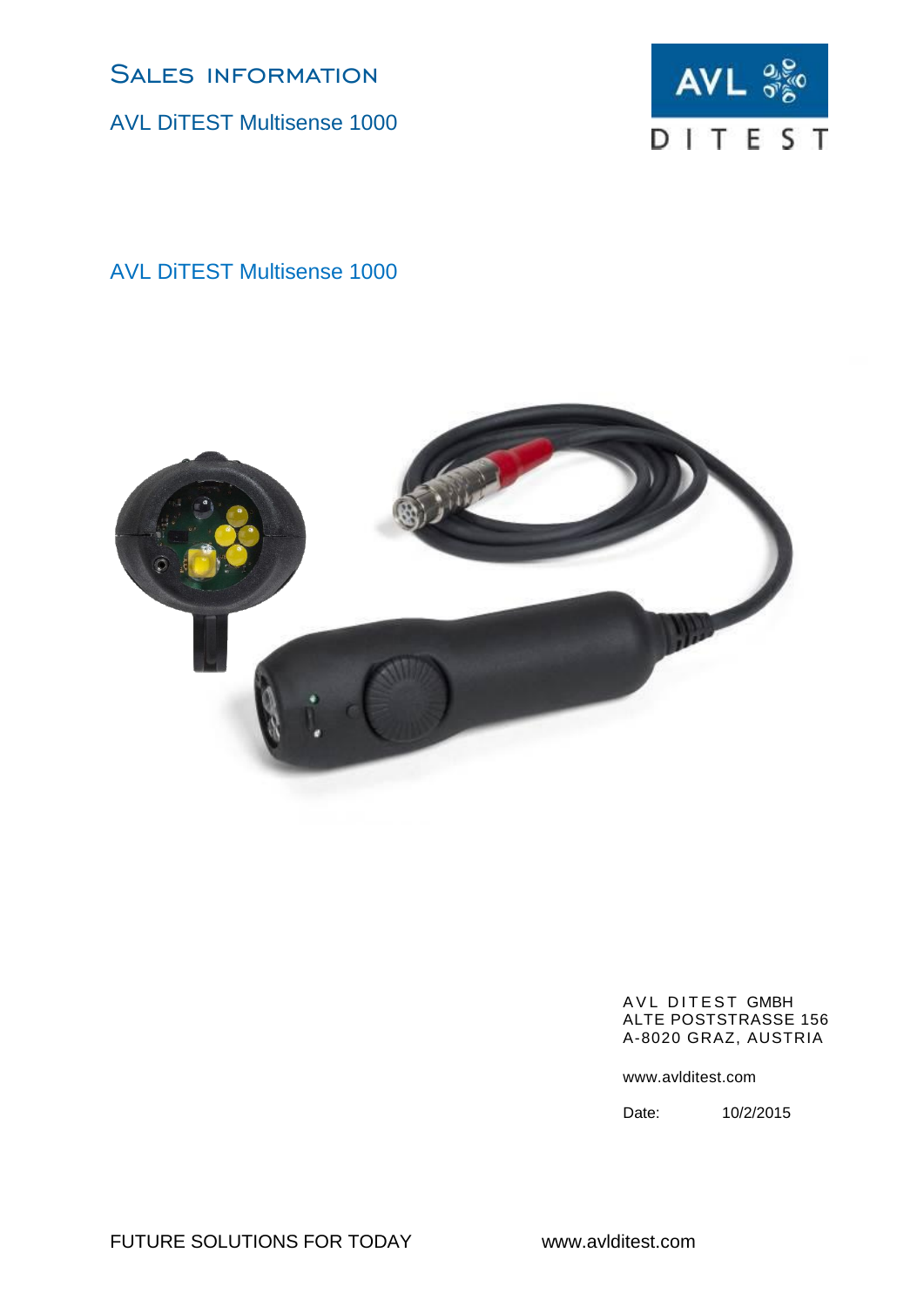AVL DiTEST Multisense 1000



AVL DiTEST Multisense 1000



#### AVL DITEST GMBH ALTE POSTSTRASSE 156 A-8020 GRAZ, AUSTRIA

www.avlditest.com

Date: 10/2/2015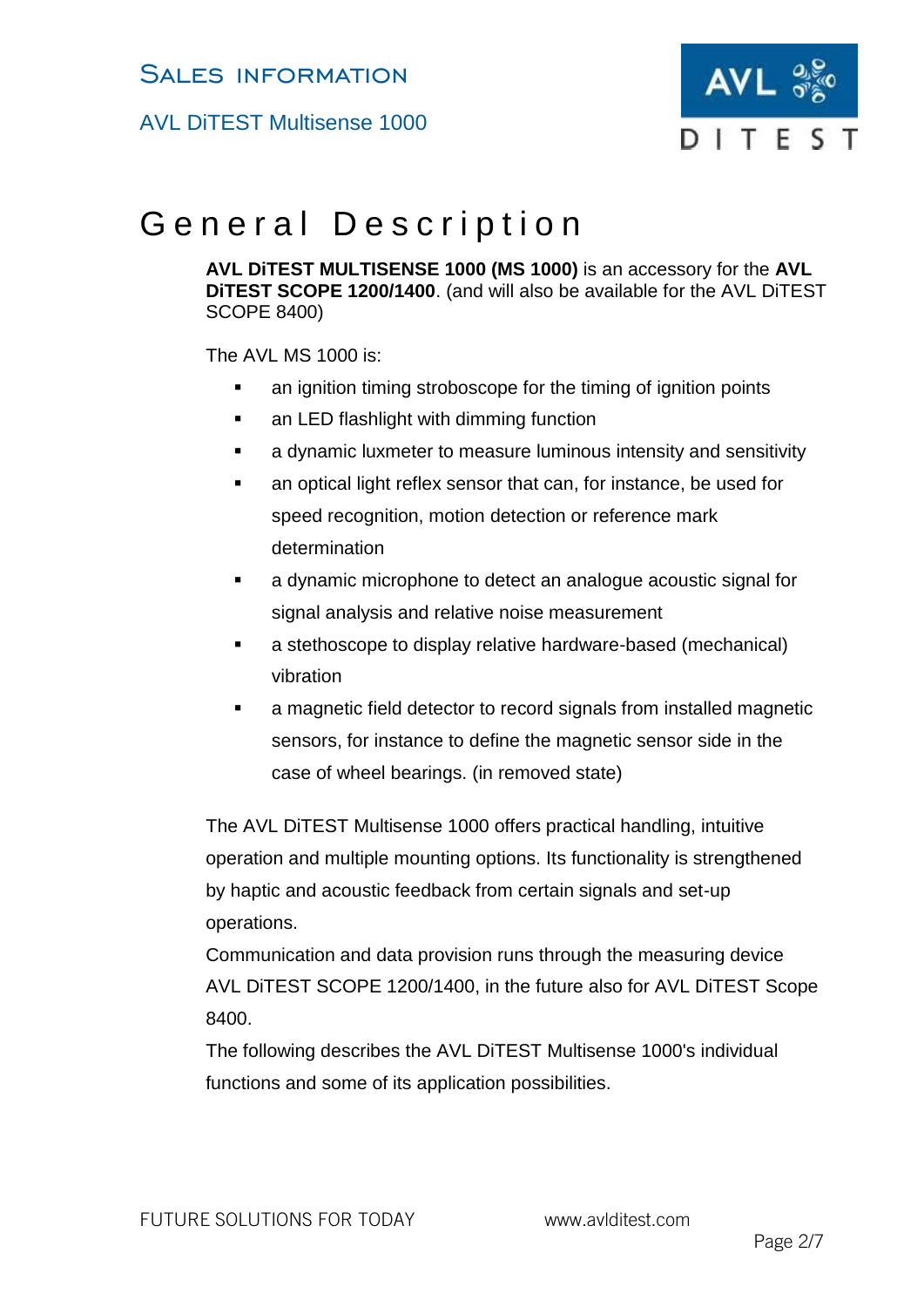AVL DiTEST Multisense 1000



# General Description

**AVL DiTEST MULTISENSE 1000 (MS 1000)** is an accessory for the **AVL DiTEST SCOPE 1200/1400**. (and will also be available for the AVL DiTEST SCOPE 8400)

The AVL MS 1000 is:

- **EXECT** an ignition timing stroboscope for the timing of ignition points
- **an LED flashlight with dimming function**
- a dynamic luxmeter to measure luminous intensity and sensitivity
- an optical light reflex sensor that can, for instance, be used for speed recognition, motion detection or reference mark determination
- a dynamic microphone to detect an analogue acoustic signal for signal analysis and relative noise measurement
- a stethoscope to display relative hardware-based (mechanical) vibration
- a magnetic field detector to record signals from installed magnetic sensors, for instance to define the magnetic sensor side in the case of wheel bearings. (in removed state)

The AVL DiTEST Multisense 1000 offers practical handling, intuitive operation and multiple mounting options. Its functionality is strengthened by haptic and acoustic feedback from certain signals and set-up operations.

Communication and data provision runs through the measuring device AVL DiTEST SCOPE 1200/1400, in the future also for AVL DiTEST Scope 8400.

The following describes the AVL DiTEST Multisense 1000's individual functions and some of its application possibilities.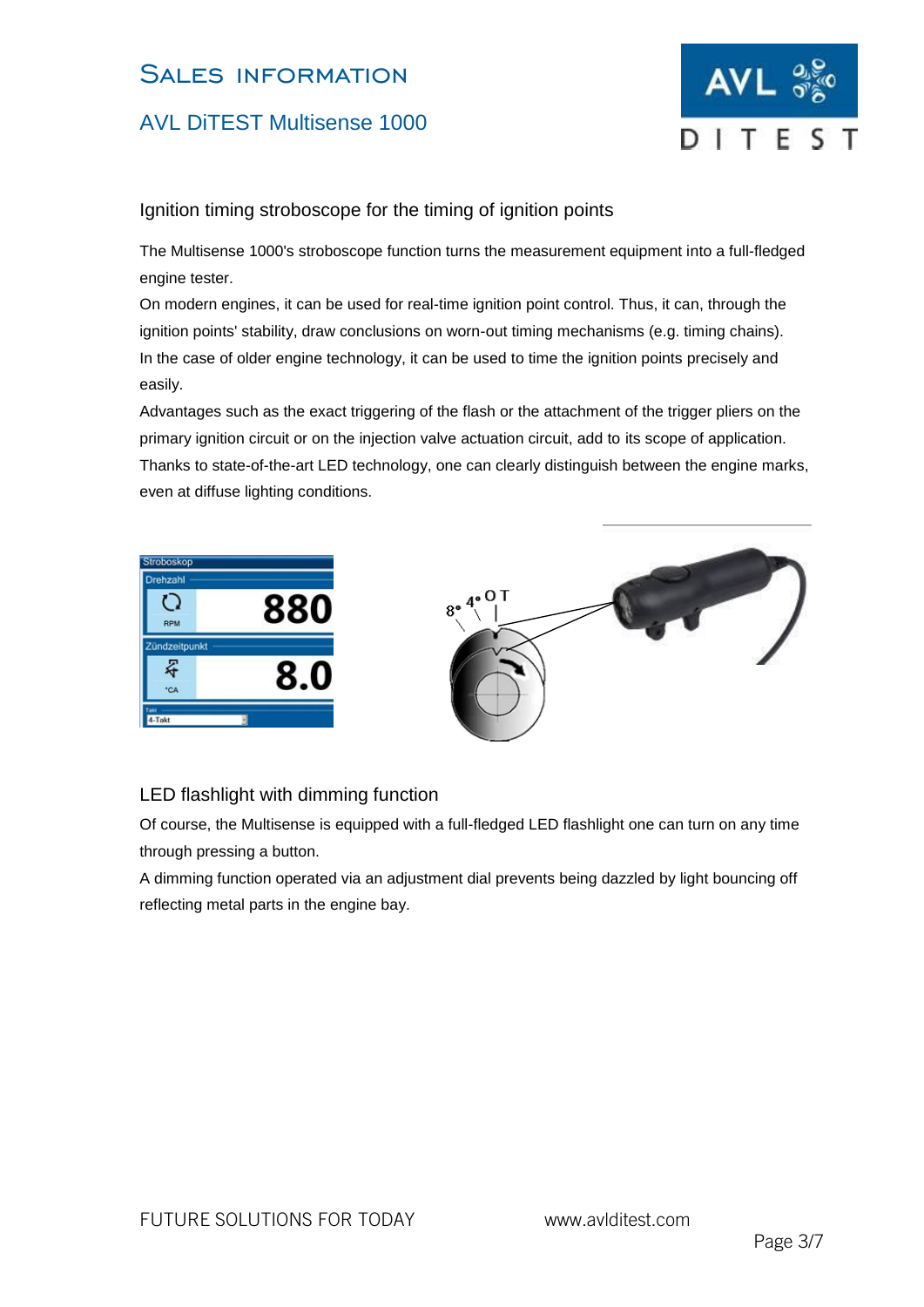### AVL DiTEST Multisense 1000



#### Ignition timing stroboscope for the timing of ignition points

The Multisense 1000's stroboscope function turns the measurement equipment into a full-fledged engine tester.

On modern engines, it can be used for real-time ignition point control. Thus, it can, through the ignition points' stability, draw conclusions on worn-out timing mechanisms (e.g. timing chains). In the case of older engine technology, it can be used to time the ignition points precisely and easily.

Advantages such as the exact triggering of the flash or the attachment of the trigger pliers on the primary ignition circuit or on the injection valve actuation circuit, add to its scope of application. Thanks to state-of-the-art LED technology, one can clearly distinguish between the engine marks, even at diffuse lighting conditions.



### LED flashlight with dimming function

Of course, the Multisense is equipped with a full-fledged LED flashlight one can turn on any time through pressing a button.

A dimming function operated via an adjustment dial prevents being dazzled by light bouncing off reflecting metal parts in the engine bay.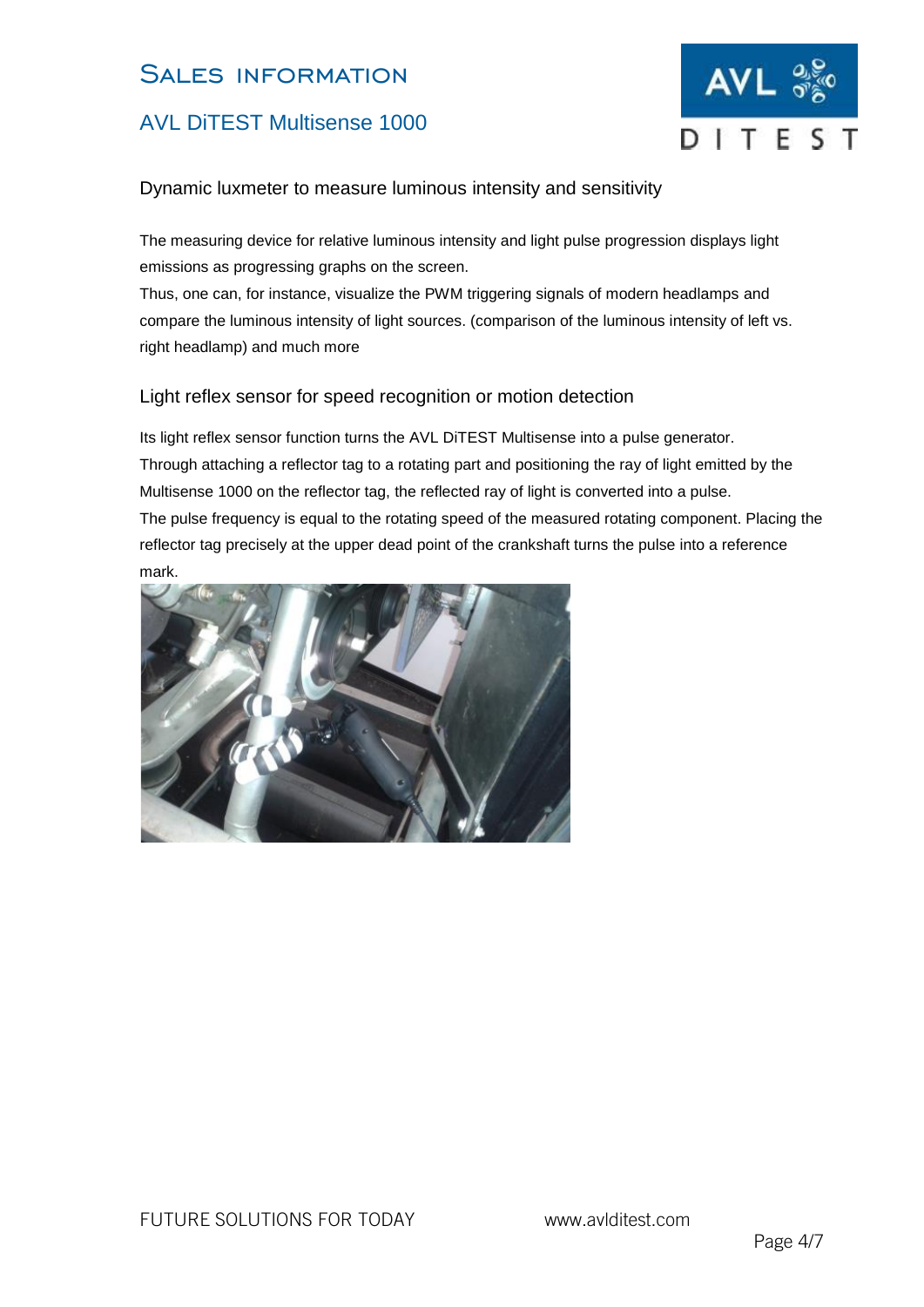## AVL DiTEST Multisense 1000



#### Dynamic luxmeter to measure luminous intensity and sensitivity

The measuring device for relative luminous intensity and light pulse progression displays light emissions as progressing graphs on the screen.

Thus, one can, for instance, visualize the PWM triggering signals of modern headlamps and compare the luminous intensity of light sources. (comparison of the luminous intensity of left vs. right headlamp) and much more

#### Light reflex sensor for speed recognition or motion detection

Its light reflex sensor function turns the AVL DiTEST Multisense into a pulse generator. Through attaching a reflector tag to a rotating part and positioning the ray of light emitted by the Multisense 1000 on the reflector tag, the reflected ray of light is converted into a pulse. The pulse frequency is equal to the rotating speed of the measured rotating component. Placing the reflector tag precisely at the upper dead point of the crankshaft turns the pulse into a reference mark.

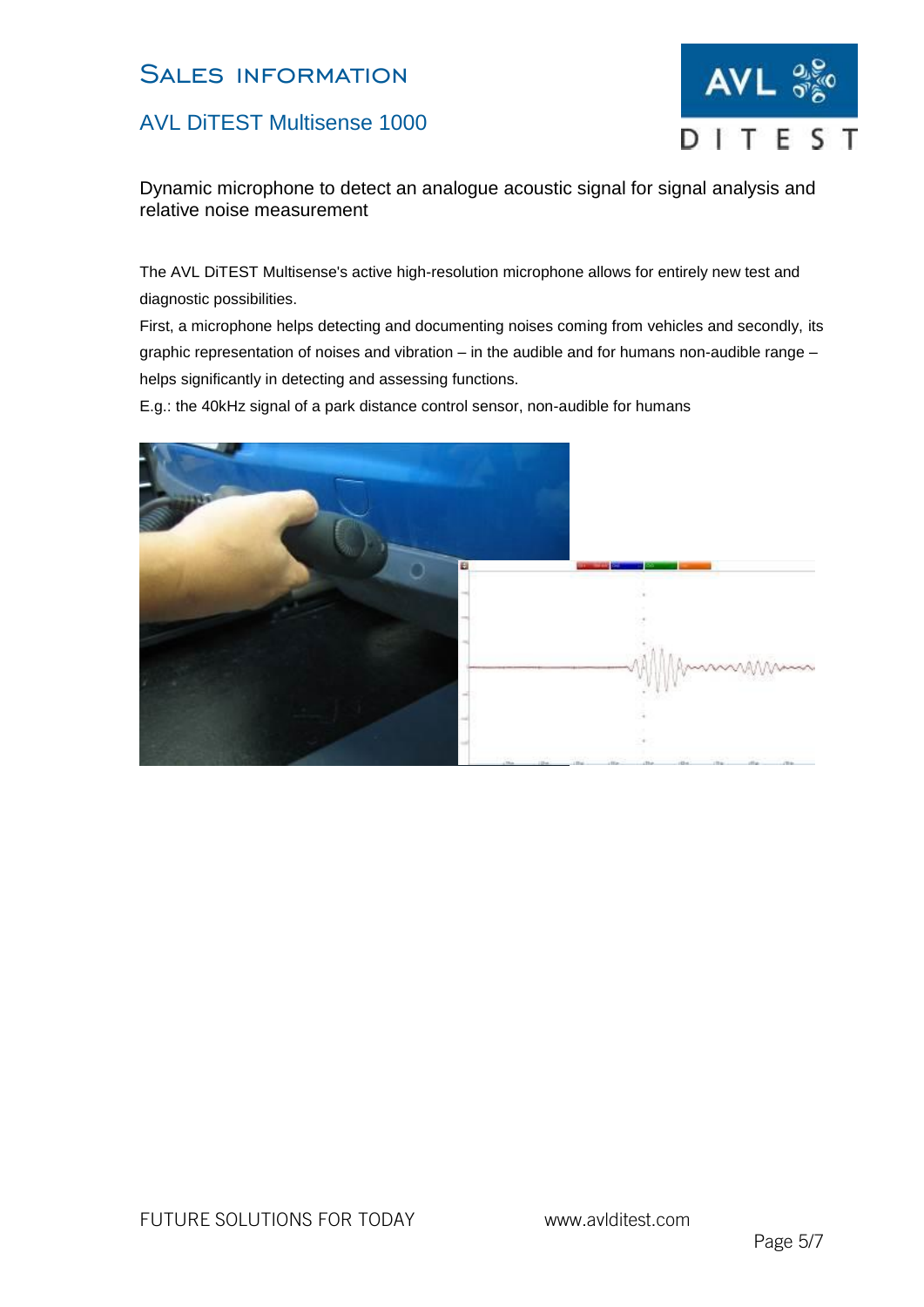### AVL DiTEST Multisense 1000



Dynamic microphone to detect an analogue acoustic signal for signal analysis and relative noise measurement

The AVL DiTEST Multisense's active high-resolution microphone allows for entirely new test and diagnostic possibilities.

First, a microphone helps detecting and documenting noises coming from vehicles and secondly, its graphic representation of noises and vibration – in the audible and for humans non-audible range – helps significantly in detecting and assessing functions.

E.g.: the 40kHz signal of a park distance control sensor, non-audible for humans

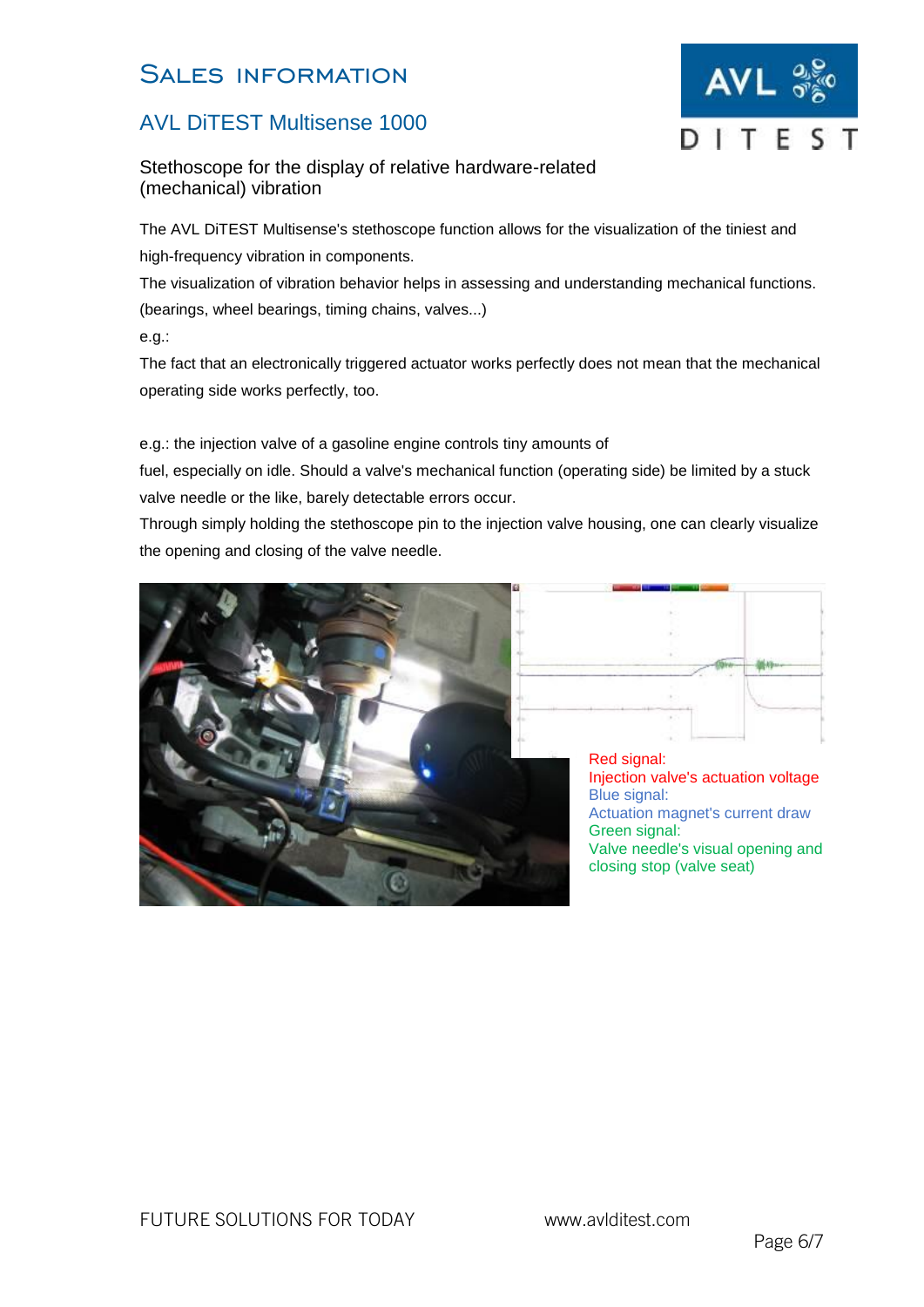### AVL DiTEST Multisense 1000

Stethoscope for the display of relative hardware-related (mechanical) vibration

The AVL DiTEST Multisense's stethoscope function allows for the visualization of the tiniest and high-frequency vibration in components.

The visualization of vibration behavior helps in assessing and understanding mechanical functions. (bearings, wheel bearings, timing chains, valves...)

e.g.:

The fact that an electronically triggered actuator works perfectly does not mean that the mechanical operating side works perfectly, too.

e.g.: the injection valve of a gasoline engine controls tiny amounts of

fuel, especially on idle. Should a valve's mechanical function (operating side) be limited by a stuck valve needle or the like, barely detectable errors occur.

Through simply holding the stethoscope pin to the injection valve housing, one can clearly visualize the opening and closing of the valve needle.





Red signal: Injection valve's actuation voltage Blue signal: Actuation magnet's current draw Green signal: Valve needle's visual opening and closing stop (valve seat)